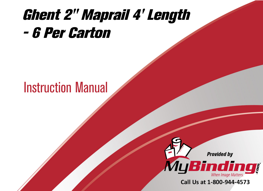## [Ghent 2" Maprail 4' Length](https://www.mybinding.com/ghent-2-maprail.html?sku=MRH4-6)  - 6 Per Carton

## Instruction Manual



Call Us at 1-800-944-4573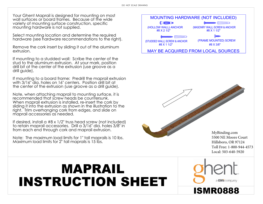Your Ghent Maprail is designed for mounting on most wall surfaces or board frames. Because of the wide variety of mounting surface construction, specific mounting hardware is not supplied.

Select mounting location and determine the required hardware (see hardware recommendations to the right).

Remove the cork insert by sliding it out of the aluminum extrusion.

If mounting to a studded wall: Scribe the center of the stud to the aluminum extrusion. At your mark, position drill bit at the center of the extrusion (use groove as a drill guide).

If mounting to a board frame: Predrill the maprail extrusion with 3/16" dia. holes on 16" centers. Position drill bit at the center of the extrusion (use groove as a drill guide).

Note, when attaching maprail to mounting surface, it is recommended that screw heads be countersunk. When maprail extrusion is installed, re-insert the cork by sliding it into the extrusion as shown in the illustration to the right. Trim overhanging cork from edges, and slide on maprail accessories as needed.

If desired, install a #8 x 1/2" truss head screw (not included) to retain maprail accessories. Drill a 3/16" dia. holes 3/8" in from each end through cork and maprail extrusion.

Note: The maximum load limits for 1" tall maprails is 10 lbs. Maximum load limits for 2" tall maprails is 15 lbs.



[MyBinding.com](http://www.mybinding.com) 5500 NE Moore Court Hillsboro, OR 97124 Toll Free: 1-800-944-4573 Local: 503-640-5920

## MAPRAIL INSTRUCTION SHEET



ISMR0888